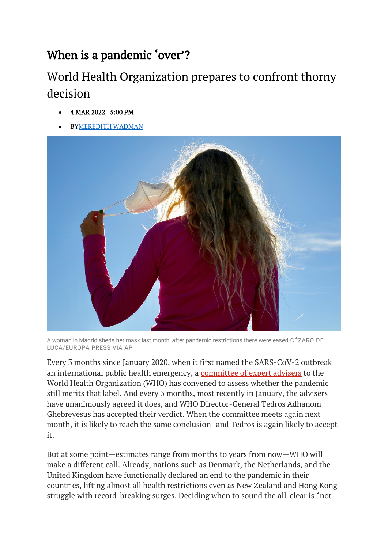## When is a pandemic 'over'?

## World Health Organization prepares to confront thorny decision

- 4 MAR 2022 5:00 PM
- B[YMEREDITH WADMAN](https://www.science.org/content/author/meredith-wadman)



A woman in Madrid sheds her mask last month, after pandemic restrictions there were eased.CÉZARO DE LUCA/EUROPA PRESS VIA AP

Every 3 months since January 2020, when it first named the SARS-CoV-2 outbreak an international public health emergency, a [committee of expert advisers](https://www.who.int/groups/covid-19-ihr-emergency-committee) to the World Health Organization (WHO) has convened to assess whether the pandemic still merits that label. And every 3 months, most recently in January, the advisers have unanimously agreed it does, and WHO Director-General Tedros Adhanom Ghebreyesus has accepted their verdict. When the committee meets again next month, it is likely to reach the same conclusion–and Tedros is again likely to accept it.

But at some point—estimates range from months to years from now—WHO will make a different call. Already, nations such as Denmark, the Netherlands, and the United Kingdom have functionally declared an end to the pandemic in their countries, lifting almost all health restrictions even as New Zealand and Hong Kong struggle with record-breaking surges. Deciding when to sound the all-clear is "not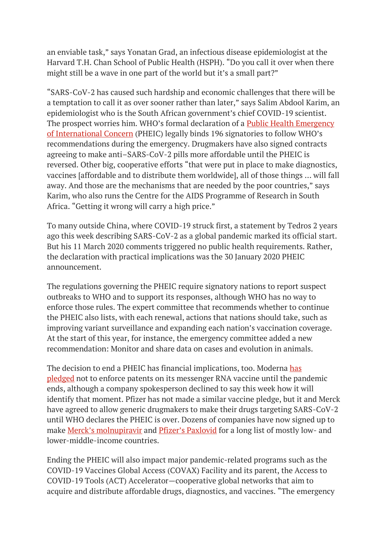an enviable task," says Yonatan Grad, an infectious disease epidemiologist at the Harvard T.H. Chan School of Public Health (HSPH). "Do you call it over when there might still be a wave in one part of the world but it's a small part?"

"SARS-CoV-2 has caused such hardship and economic challenges that there will be a temptation to call it as over sooner rather than later," says Salim Abdool Karim, an epidemiologist who is the South African government's chief COVID-19 scientist. The prospect worries him. WHO's formal declaration of a **Public Health Emergency** [of International Concern](https://www.who.int/news-room/questions-and-answers/item/emergencies-international-health-regulations-and-emergency-committees) (PHEIC) legally binds 196 signatories to follow WHO's recommendations during the emergency. Drugmakers have also signed contracts agreeing to make anti–SARS-CoV-2 pills more affordable until the PHEIC is reversed. Other big, cooperative efforts "that were put in place to make diagnostics, vaccines [affordable and to distribute them worldwide], all of those things … will fall away. And those are the mechanisms that are needed by the poor countries," says Karim, who also runs the Centre for the AIDS Programme of Research in South Africa. "Getting it wrong will carry a high price."

To many outside China, where COVID-19 struck first, a statement by Tedros 2 years ago this week describing SARS-CoV-2 as a global pandemic marked its official start. But his 11 March 2020 comments triggered no public health requirements. Rather, the declaration with practical implications was the 30 January 2020 PHEIC announcement.

The regulations governing the PHEIC require signatory nations to report suspect outbreaks to WHO and to support its responses, although WHO has no way to enforce those rules. The expert committee that recommends whether to continue the PHEIC also lists, with each renewal, actions that nations should take, such as improving variant surveillance and expanding each nation's vaccination coverage. At the start of this year, for instance, the emergency committee added a new recommendation: Monitor and share data on cases and evolution in animals.

The decision to end a PHEIC has financial implications, too. Moderna [has](https://www.fiercepharma.com/pharma/leading-vaccine-player-moderna-won-t-enforce-patents-against-other-companies-during-pandemic)  [pledged](https://www.fiercepharma.com/pharma/leading-vaccine-player-moderna-won-t-enforce-patents-against-other-companies-during-pandemic) not to enforce patents on its messenger RNA vaccine until the pandemic ends, although a company spokesperson declined to say this week how it will identify that moment. Pfizer has not made a similar vaccine pledge, but it and Merck have agreed to allow generic drugmakers to make their drugs targeting SARS-CoV-2 until WHO declares the PHEIC is over. Dozens of companies have now signed up to make [Merck's molnupiravir](https://medicinespatentpool.org/news-publications-post/27-generic-manufacturers-sign-agreements-with-mpp-to-produce-molnupiravir) and [Pfizer's Paxlovid](https://www.pfizer.com/news/press-release/press-release-detail/pfizer-and-medicines-patent-pool-mpp-sign-licensing) for a long list of mostly low- and lower-middle-income countries.

Ending the PHEIC will also impact major pandemic-related programs such as the COVID-19 Vaccines Global Access (COVAX) Facility and its parent, the Access to COVID-19 Tools (ACT) Accelerator—cooperative global networks that aim to acquire and distribute affordable drugs, diagnostics, and vaccines. "The emergency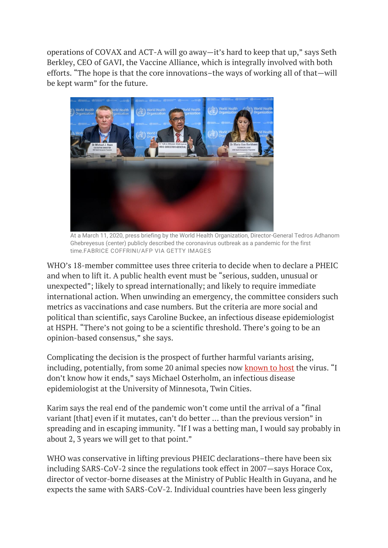operations of COVAX and ACT-A will go away—it's hard to keep that up," says Seth Berkley, CEO of GAVI, the Vaccine Alliance, which is integrally involved with both efforts. "The hope is that the core innovations–the ways of working all of that—will be kept warm" for the future.



At a March 11, 2020, press briefing by the World Health Organization, Director-General Tedros Adhanom Ghebreyesus (center) publicly described the coronavirus outbreak as a pandemic for the first time.FABRICE COFFRINI/AFP VIA GETTY IMAGES

WHO's 18-member committee uses three criteria to decide when to declare a PHEIC and when to lift it. A public health event must be "serious, sudden, unusual or unexpected"; likely to spread internationally; and likely to require immediate international action. When unwinding an emergency, the committee considers such metrics as vaccinations and case numbers. But the criteria are more social and political than scientific, says Caroline Buckee, an infectious disease epidemiologist at HSPH. "There's not going to be a scientific threshold. There's going to be an opinion-based consensus," she says.

Complicating the decision is the prospect of further harmful variants arising, including, potentially, from some 20 animal species now [known to host](https://www.oie.int/app/uploads/2022/02/sars-cov-2-situation-report-9.pdf) the virus. "I don't know how it ends," says Michael Osterholm, an infectious disease epidemiologist at the University of Minnesota, Twin Cities.

Karim says the real end of the pandemic won't come until the arrival of a "final variant [that] even if it mutates, can't do better … than the previous version" in spreading and in escaping immunity. "If I was a betting man, I would say probably in about 2, 3 years we will get to that point."

WHO was conservative in lifting previous PHEIC declarations–there have been six including SARS-CoV-2 since the regulations took effect in 2007—says Horace Cox, director of vector-borne diseases at the Ministry of Public Health in Guyana, and he expects the same with SARS-CoV-2. Individual countries have been less gingerly